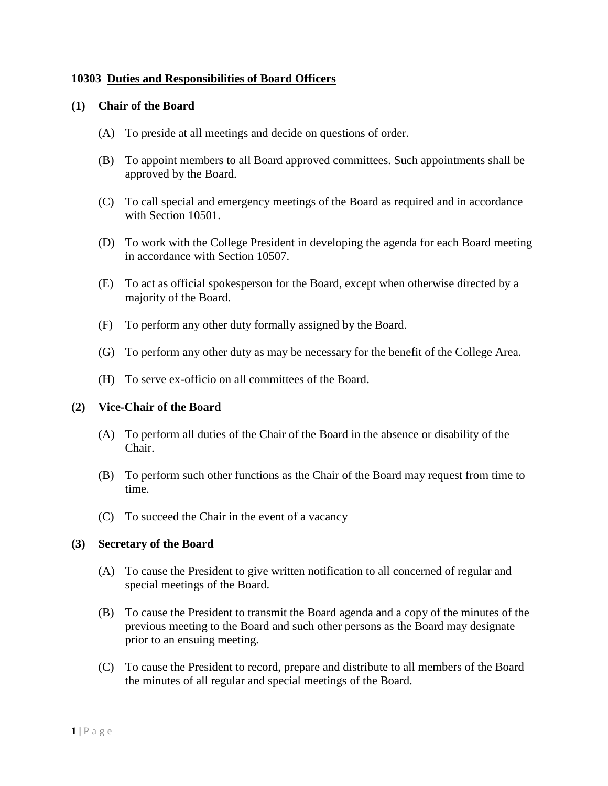## **10303 Duties and Responsibilities of Board Officers**

#### **(1) Chair of the Board**

- (A) To preside at all meetings and decide on questions of order.
- (B) To appoint members to all Board approved committees. Such appointments shall be approved by the Board.
- (C) To call special and emergency meetings of the Board as required and in accordance with Section 10501.
- (D) To work with the College President in developing the agenda for each Board meeting in accordance with Section 10507.
- (E) To act as official spokesperson for the Board, except when otherwise directed by a majority of the Board.
- (F) To perform any other duty formally assigned by the Board.
- (G) To perform any other duty as may be necessary for the benefit of the College Area.
- (H) To serve ex-officio on all committees of the Board.

### **(2) Vice-Chair of the Board**

- (A) To perform all duties of the Chair of the Board in the absence or disability of the Chair.
- (B) To perform such other functions as the Chair of the Board may request from time to time.
- (C) To succeed the Chair in the event of a vacancy

#### **(3) Secretary of the Board**

- (A) To cause the President to give written notification to all concerned of regular and special meetings of the Board.
- (B) To cause the President to transmit the Board agenda and a copy of the minutes of the previous meeting to the Board and such other persons as the Board may designate prior to an ensuing meeting.
- (C) To cause the President to record, prepare and distribute to all members of the Board the minutes of all regular and special meetings of the Board.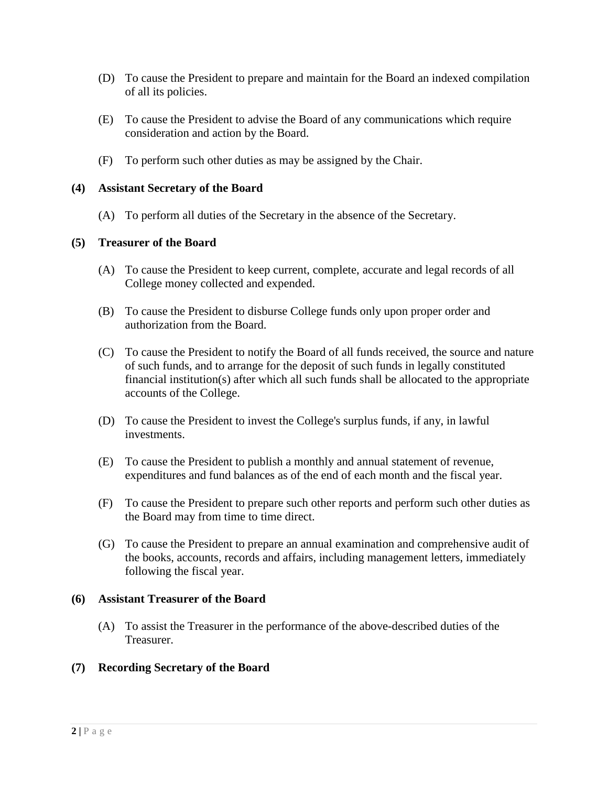- (D) To cause the President to prepare and maintain for the Board an indexed compilation of all its policies.
- (E) To cause the President to advise the Board of any communications which require consideration and action by the Board.
- (F) To perform such other duties as may be assigned by the Chair.

### **(4) Assistant Secretary of the Board**

(A) To perform all duties of the Secretary in the absence of the Secretary.

## **(5) Treasurer of the Board**

- (A) To cause the President to keep current, complete, accurate and legal records of all College money collected and expended.
- (B) To cause the President to disburse College funds only upon proper order and authorization from the Board.
- (C) To cause the President to notify the Board of all funds received, the source and nature of such funds, and to arrange for the deposit of such funds in legally constituted financial institution(s) after which all such funds shall be allocated to the appropriate accounts of the College.
- (D) To cause the President to invest the College's surplus funds, if any, in lawful investments.
- (E) To cause the President to publish a monthly and annual statement of revenue, expenditures and fund balances as of the end of each month and the fiscal year.
- (F) To cause the President to prepare such other reports and perform such other duties as the Board may from time to time direct.
- (G) To cause the President to prepare an annual examination and comprehensive audit of the books, accounts, records and affairs, including management letters, immediately following the fiscal year.

### **(6) Assistant Treasurer of the Board**

(A) To assist the Treasurer in the performance of the above-described duties of the Treasurer.

# **(7) Recording Secretary of the Board**